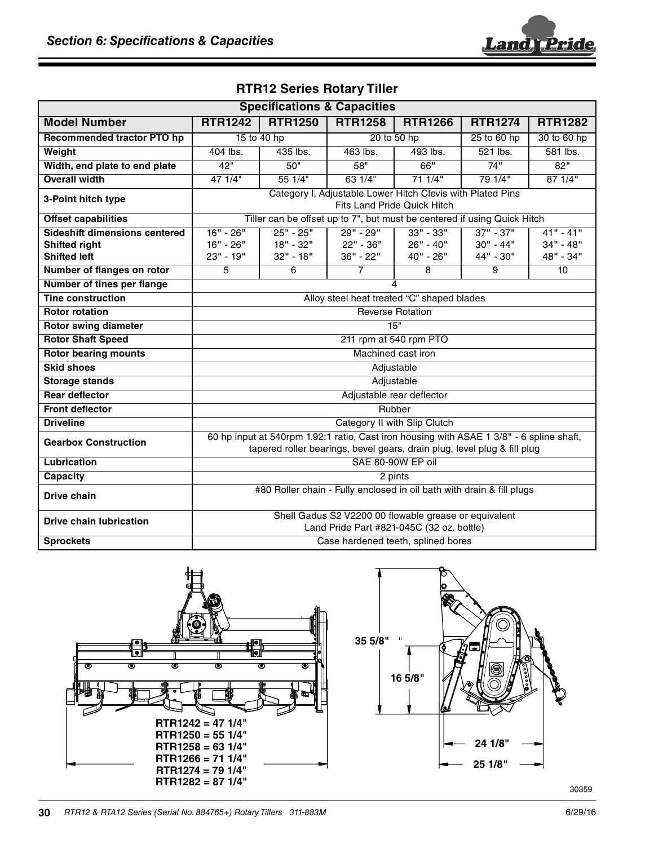

| <b>Specifications &amp; Capacities</b>                                              |                                                                                                                                                                      |                                       |                                       |                                         |                                         |                                         |
|-------------------------------------------------------------------------------------|----------------------------------------------------------------------------------------------------------------------------------------------------------------------|---------------------------------------|---------------------------------------|-----------------------------------------|-----------------------------------------|-----------------------------------------|
| <b>Model Number</b>                                                                 | <b>RTR1242</b>                                                                                                                                                       | <b>RTR1250</b>                        | <b>RTR1258</b>                        | <b>RTR1266</b>                          | <b>RTR1274</b>                          | <b>RTR1282</b>                          |
| Recommended tractor PTO hp                                                          | 15 to 40 hp                                                                                                                                                          |                                       | 20 to 50 hp                           |                                         | 25 to 60 hp                             | 30 to 60 hp                             |
| Weight                                                                              | 404 lbs.                                                                                                                                                             | 435 lbs.                              | 463 lbs.                              | 493 lbs.                                | 521 lbs.                                | 581 lbs.                                |
| Width, end plate to end plate                                                       | 42"                                                                                                                                                                  | 50"                                   | 58"                                   | 66"                                     | 74"                                     | 82"                                     |
| <b>Overall width</b>                                                                | 471/4"                                                                                                                                                               | 551/4"                                | 631/4"                                | 711/4"                                  | 79 1/4"                                 | 871/4"                                  |
| 3-Point hitch type                                                                  | Category I, Adjustable Lower Hitch Clevis with Plated Pins<br>Fits Land Pride Quick Hitch                                                                            |                                       |                                       |                                         |                                         |                                         |
| <b>Offset capabilities</b>                                                          | Tiller can be offset up to 7", but must be centered if using Quick Hitch                                                                                             |                                       |                                       |                                         |                                         |                                         |
| <b>Sideshift dimensions centered</b><br><b>Shifted right</b><br><b>Shifted left</b> | $16" - 26"$<br>16" - 26"<br>23" - 19"                                                                                                                                | $25" - 25"$<br>18" - 32"<br>32" - 18" | $29" - 29"$<br>22" - 36"<br>36" - 22" | $33" - 33"$<br>$26" - 40"$<br>40" - 26" | $37" - 37"$<br>$30" - 44"$<br>44" - 30" | $41" - 41"$<br>$34" - 48"$<br>48" - 34" |
| Number of flanges on rotor                                                          | 5                                                                                                                                                                    | 6                                     | $\overline{7}$                        | 8                                       | 9                                       | 10                                      |
| Number of tines per flange                                                          | 4                                                                                                                                                                    |                                       |                                       |                                         |                                         |                                         |
| <b>Tine construction</b>                                                            | Alloy steel heat treated "C" shaped blades                                                                                                                           |                                       |                                       |                                         |                                         |                                         |
| <b>Rotor rotation</b>                                                               | <b>Reverse Rotation</b>                                                                                                                                              |                                       |                                       |                                         |                                         |                                         |
| <b>Rotor swing diameter</b>                                                         | 15"                                                                                                                                                                  |                                       |                                       |                                         |                                         |                                         |
| <b>Rotor Shaft Speed</b>                                                            | 211 rpm at 540 rpm PTO                                                                                                                                               |                                       |                                       |                                         |                                         |                                         |
| <b>Rotor bearing mounts</b>                                                         | Machined cast iron                                                                                                                                                   |                                       |                                       |                                         |                                         |                                         |
| <b>Skid shoes</b>                                                                   | Adjustable                                                                                                                                                           |                                       |                                       |                                         |                                         |                                         |
| <b>Storage stands</b>                                                               | Adjustable                                                                                                                                                           |                                       |                                       |                                         |                                         |                                         |
| <b>Rear deflector</b>                                                               | Adjustable rear deflector                                                                                                                                            |                                       |                                       |                                         |                                         |                                         |
| <b>Front deflector</b>                                                              | Rubber                                                                                                                                                               |                                       |                                       |                                         |                                         |                                         |
| <b>Driveline</b>                                                                    | Category II with Slip Clutch                                                                                                                                         |                                       |                                       |                                         |                                         |                                         |
| <b>Gearbox Construction</b>                                                         | 60 hp input at 540rpm 1.92:1 ratio, Cast iron housing with ASAE 1 3/8" - 6 spline shaft,<br>tapered roller bearings, bevel gears, drain plug, level plug & fill plug |                                       |                                       |                                         |                                         |                                         |
| <b>Lubrication</b>                                                                  | SAE 80-90W EP oil                                                                                                                                                    |                                       |                                       |                                         |                                         |                                         |
| <b>Capacity</b>                                                                     | 2 pints                                                                                                                                                              |                                       |                                       |                                         |                                         |                                         |
| Drive chain                                                                         | #80 Roller chain - Fully enclosed in oil bath with drain & fill plugs                                                                                                |                                       |                                       |                                         |                                         |                                         |
| <b>Drive chain lubrication</b>                                                      | Shell Gadus S2 V2200 00 flowable grease or equivalent<br>Land Pride Part #821-045C (32 oz. bottle)                                                                   |                                       |                                       |                                         |                                         |                                         |
| <b>Sprockets</b>                                                                    | Case hardened teeth, splined bores                                                                                                                                   |                                       |                                       |                                         |                                         |                                         |

## **RTR12 Series Rotary Tiller**





**30** RTR12 & RTA12 Series (Serial No. 884765+) Rotary Tillers 311-883M 6/29/16